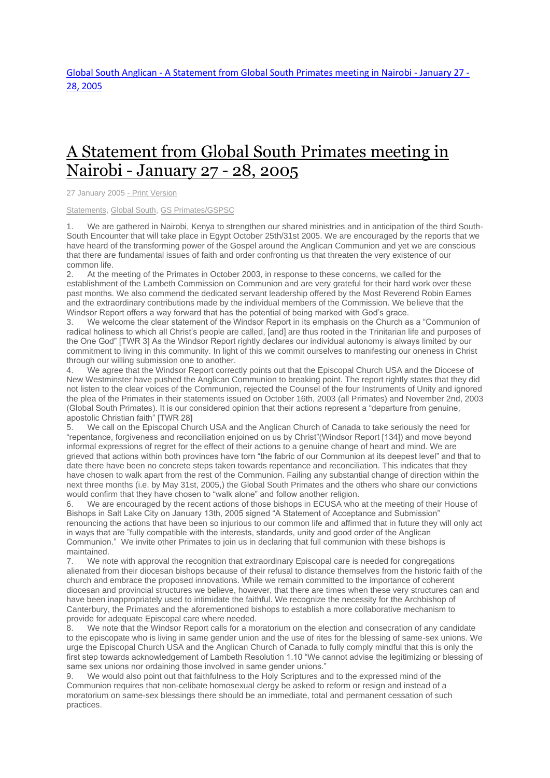## A [Statement](http://www.globalsouthanglican.org/index.php/blog/comments/a_statement_from_global_south_primates_meeting_in_nairobi_january_27_28_200) from Global South Primates meeting in Nairobi - [January](http://www.globalsouthanglican.org/index.php/blog/comments/a_statement_from_global_south_primates_meeting_in_nairobi_january_27_28_200) 27 - 28, 2005

27 January 2005 - Print [Version](http://globalsouthanglican.org/index.php/blog/printing/a_statement_from_global_south_primates_meeting_in_nairobi_january_27_28_200)

## [Statements,](http://globalsouthanglican.org/index.php/archives/category/statements) [Global](http://globalsouthanglican.org/index.php/archives/category/global_south) South, GS [Primates/GSPSC](http://globalsouthanglican.org/index.php/archives/category/gs_primates_gspsc)

1. We are gathered in Nairobi, Kenya to strengthen our shared ministries and in anticipation of the third South-South Encounter that will take place in Egypt October 25th/31st 2005. We are encouraged by the reports that we have heard of the transforming power of the Gospel around the Anglican Communion and yet we are conscious that there are fundamental issues of faith and order confronting us that threaten the very existence of our common life.

2. At the meeting of the Primates in October 2003, in response to these concerns, we called for the establishment of the Lambeth Commission on Communion and are very grateful for their hard work over these past months. We also commend the dedicated servant leadership offered by the Most Reverend Robin Eames and the extraordinary contributions made by the individual members of the Commission. We believe that the Windsor Report offers a way forward that has the potential of being marked with God's grace.

3. We welcome the clear statement of the Windsor Report in its emphasis on the Church as a "Communion of radical holiness to which all Christ's people are called, [and] are thus rooted in the Trinitarian life and purposes of the One God" [TWR 3] As the Windsor Report rightly declares our individual autonomy is always limited by our commitment to living in this community. In light of this we commit ourselves to manifesting our oneness in Christ through our willing submission one to another.

4. We agree that the Windsor Report correctly points out that the Episcopal Church USA and the Diocese of New Westminster have pushed the Anglican Communion to breaking point. The report rightly states that they did not listen to the clear voices of the Communion, rejected the Counsel of the four Instruments of Unity and ignored the plea of the Primates in their statements issued on October 16th, 2003 (all Primates) and November 2nd, 2003 (Global South Primates). It is our considered opinion that their actions represent a "departure from genuine, apostolic Christian faith" [TWR 28]

5. We call on the Episcopal Church USA and the Anglican Church of Canada to take seriously the need for "repentance, forgiveness and reconciliation enjoined on us by Christ"(Windsor Report [134]) and move beyond informal expressions of regret for the effect of their actions to a genuine change of heart and mind. We are grieved that actions within both provinces have torn "the fabric of our Communion at its deepest level" and that to date there have been no concrete steps taken towards repentance and reconciliation. This indicates that they have chosen to walk apart from the rest of the Communion. Failing any substantial change of direction within the next three months (i.e. by May 31st, 2005,) the Global South Primates and the others who share our convictions would confirm that they have chosen to "walk alone" and follow another religion.

6. We are encouraged by the recent actions of those bishops in ECUSA who at the meeting of their House of Bishops in Salt Lake City on January 13th, 2005 signed "A Statement of Acceptance and Submission" renouncing the actions that have been so injurious to our common life and affirmed that in future they will only act in ways that are "fully compatible with the interests, standards, unity and good order of the Anglican Communion." We invite other Primates to join us in declaring that full communion with these bishops is maintained.

7. We note with approval the recognition that extraordinary Episcopal care is needed for congregations alienated from their diocesan bishops because of their refusal to distance themselves from the historic faith of the church and embrace the proposed innovations. While we remain committed to the importance of coherent diocesan and provincial structures we believe, however, that there are times when these very structures can and have been inappropriately used to intimidate the faithful. We recognize the necessity for the Archbishop of Canterbury, the Primates and the aforementioned bishops to establish a more collaborative mechanism to provide for adequate Episcopal care where needed.

8. We note that the Windsor Report calls for a moratorium on the election and consecration of any candidate to the episcopate who is living in same gender union and the use of rites for the blessing of same-sex unions. We urge the Episcopal Church USA and the Anglican Church of Canada to fully comply mindful that this is only the first step towards acknowledgement of Lambeth Resolution 1.10 "We cannot advise the legitimizing or blessing of same sex unions nor ordaining those involved in same gender unions."

9. We would also point out that faithfulness to the Holy Scriptures and to the expressed mind of the Communion requires that non-celibate homosexual clergy be asked to reform or resign and instead of a moratorium on same-sex blessings there should be an immediate, total and permanent cessation of such practices.